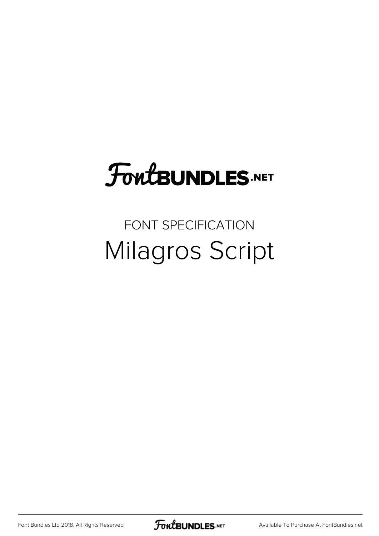## **FoutBUNDLES.NET**

## FONT SPECIFICATION Milagros Script

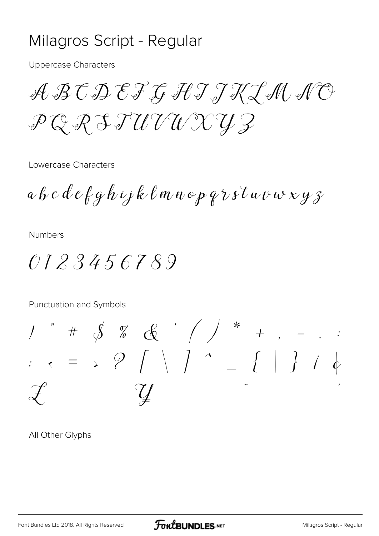## Milagros Script - Regular

Uppercase Characters

ABCDEFGHIJKLMNO PQRSTUVWXYZ

Lowercase Characters

abcdefghijklmnopqrstuvwxyz

Numbers

0123456789

Punctuation and Symbols

! " # \$ % & ' ( ) \* + , - . : ;  $\epsilon = 3$  ?  $\int \int \frac{1}{1} dx = 3$  $\mathscr{L}$   $\mathscr{Y}$   $\mathscr{Y}$ 

All Other Glyphs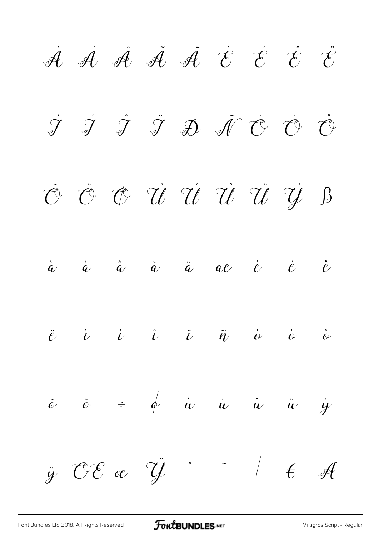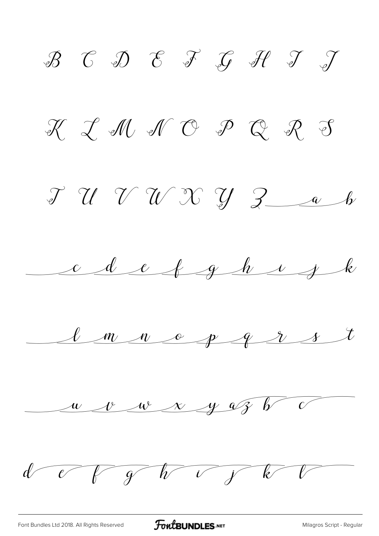$\mathscr{B}$   $\mathscr{C}$   $\mathscr{D}$   $\mathscr{C}$   $\mathscr{F}$   $\mathscr{G}$   $\mathscr{H}$   $\mathscr{T}$   $\mathscr{T}$  $K$   $\mathcal{I}$   $M$   $N$   $O$   $P$   $Q$   $R$   $S$  $JUU W W J 300$ cdefghijk  $l$  m n o p q r s t  $\frac{w}{v}$   $\frac{w}{w}$   $\frac{x}{y}$   $\frac{w}{y}$   $\frac{w}{y}$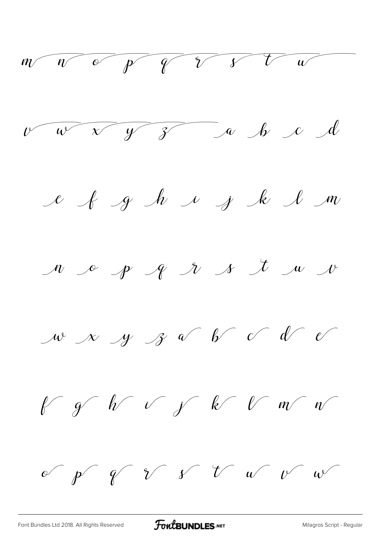$m$   $n$   $p$   $q$   $r$   $r$   $w$ v v v y z a h c d e & g h i j k l m  $M$  of  $P$   $N$   $N$   $N$   $U$   $N$ w x y z v b c d e  $k$  of  $k$  of  $k$  of  $m$ of  $p^r$  of  $r^r$  if  $v^r$  we arr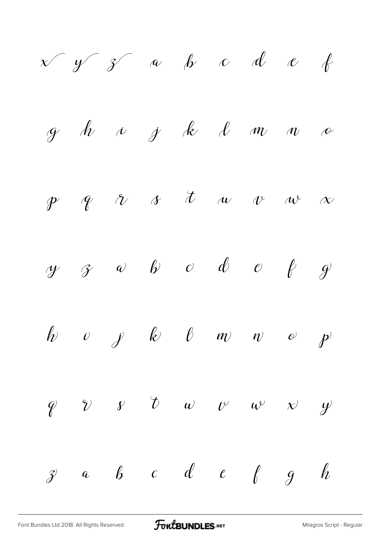$$
x \ y \ z \ a \ b \ c \ d \ e \ \ell
$$
\ng h \ u \ g \ k \ b \ m \ n \ c\n
$$
y \ q \ r \ r \ r \ s \ t \ u \ v \ w \ \alpha
$$
\n
$$
y \ g \ e \ b \ c \ d \ e \ e \ f \ g
$$
\n
$$
y \ b \ b \ b \ w \ w \ c \ p
$$
\n
$$
y \ b \ b \ b \ w \ w \ c \ p
$$
\n
$$
y \ c \ b \ c \ d \ c \ f \ g \ h
$$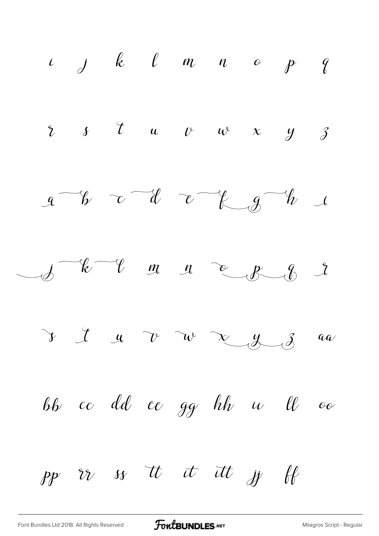

[Font Bundles Ltd 2018. All Rights Reserved](https://fontbundles.net/) **FoutBUNDLES.NET** [Milagros Script - Regular](https://fontbundles.net/)